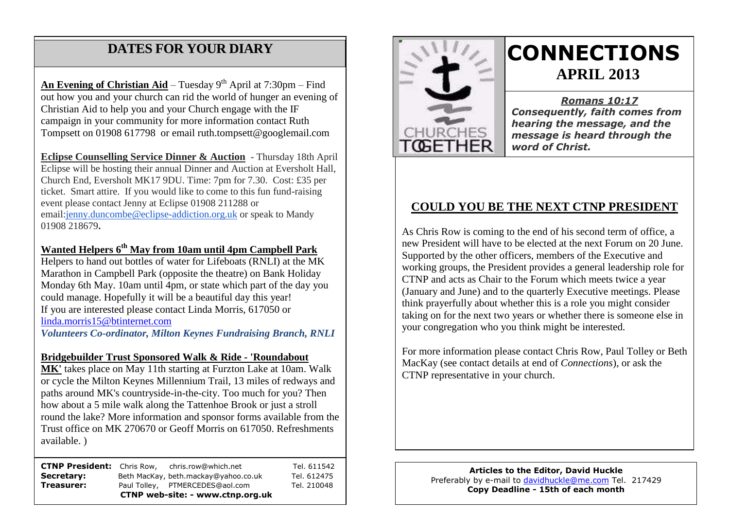# **DATES FOR YOUR DIARY**

 Christian Aid to help you and your Church engage with the IF campaign in your community for more information contact Ruth **An Evening of Christian Aid** – Tuesday 9<sup>th</sup> April at 7:30pm – Find out how you and your church can rid the world of hunger an evening of Tompsett on 01908 617798 or email ruth.tompsett@googlemail.com

**Eclipse Counselling Service Dinner & Auction** - Thursday 18th April Eclipse will be hosting their annual Dinner and Auction at Eversholt Hall, Church End, Eversholt MK17 9DU. Time: 7pm for 7.30. Cost: £35 per ticket. Smart attire. If you would like to come to this fun fund-raising event please contact Jenny at Eclipse 01908 211288 or email[:jenny.duncombe@eclipse-addiction.org.uk](mailto:jenny.duncombe@eclipse-addiction.org.uk) or speak to Mandy 01908 218679**.**

### **Wanted Helpers 6th May from 10am until 4pm Campbell Park**

Helpers to hand out bottles of water for Lifeboats (RNLI) at the MK Marathon in Campbell Park (opposite the theatre) on Bank Holiday Monday 6th May. 10am until 4pm, or state which part of the day you could manage. Hopefully it will be a beautiful day this year! If you are interested please contact Linda Morris, 617050 or [linda.morris15@btinternet.com](mailto:linda.morris15@btinternet.com)

*Volunteers Co-ordinator, Milton Keynes Fundraising Branch, RNLI*

#### **Bridgebuilder Trust Sponsored Walk & Ride - 'Roundabout**

**MK'** takes place on May 11th starting at Furzton Lake at 10am. Walk or cycle the Milton Keynes Millennium Trail, 13 miles of redways and paths around MK's countryside-in-the-city. Too much for you? Then how about a 5 mile walk along the Tattenhoe Brook or just a stroll round the lake? More information and sponsor forms available from the Trust office on MK 270670 or Geoff Morris on 617050. Refreshments available. )

| <b>CTNP President:</b> Chris Row, |  | chris.row@which.net                  | Tel. 611542 |
|-----------------------------------|--|--------------------------------------|-------------|
| Secretary:                        |  | Beth MacKay, beth.mackay@yahoo.co.uk | Tel. 612475 |
| Treasurer:                        |  | Paul Tolley, PTMERCEDES@aol.com      | Tel. 210048 |
| CTNP web-site: - www.ctnp.org.uk  |  |                                      |             |



# **CONNECTIONS APRIL 2013**

*Romans 10:17 Consequently, faith comes from hearing the message, and the message is heard through the word of Christ.*

### **COULD YOU BE THE NEXT CTNP PRESIDENT**

As Chris Row is coming to the end of his second term of office, a new President will have to be elected at the next Forum on 20 June. Supported by the other officers, members of the Executive and working groups, the President provides a general leadership role for CTNP and acts as Chair to the Forum which meets twice a year (January and June) and to the quarterly Executive meetings. Please think prayerfully about whether this is a role you might consider taking on for the next two years or whether there is someone else in your congregation who you think might be interested.

For more information please contact Chris Row, Paul Tolley or Beth MacKay (see contact details at end of *Connections*), or ask the CTNP representative in your church.

> **Articles to the Editor, David Huckle** Preferably by e-mail to [davidhuckle@me.com](mailto:davidhuckle@me.com) Tel. 217429 **Copy Deadline - 15th of each month**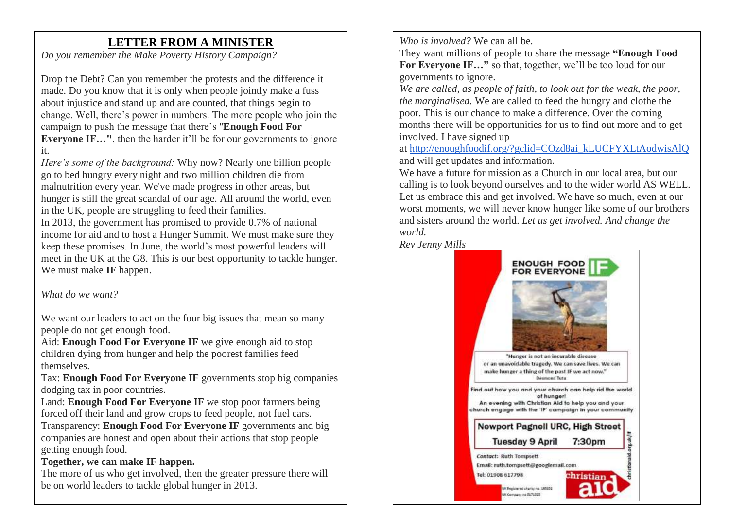# **LETTER FROM A MINISTER**

*Do you remember the Make Poverty History Campaign?*

Drop the Debt? Can you remember the protests and the difference it made. Do you know that it is only when people jointly make a fuss about injustice and stand up and are counted, that things begin to change. Well, there's power in numbers. The more people who join the campaign to push the message that there's "**Enough Food For Everyone IF…"**, then the harder it'll be for our governments to ignore it.

*Here's some of the background:* Why now? Nearly one billion people go to bed hungry every night and two million children die from malnutrition every year. We've made progress in other areas, but hunger is still the great scandal of our age. All around the world, even in the UK, people are struggling to feed their families.

In 2013, the government has promised to provide 0.7% of national income for aid and to host a Hunger Summit. We must make sure they keep these promises. In June, the world's most powerful leaders will meet in the UK at the G8. This is our best opportunity to tackle hunger. We must make **IF** happen.

*What do we want?*

We want our leaders to act on the four big issues that mean so many people do not get enough food.

Aid: **Enough Food For Everyone IF** we give enough aid to stop children dying from hunger and help the poorest families feed themselves.

Tax: **Enough Food For Everyone IF** governments stop big companies dodging tax in poor countries.

Land: **Enough Food For Everyone IF** we stop poor farmers being forced off their land and grow crops to feed people, not fuel cars. Transparency: **Enough Food For Everyone IF** governments and big companies are honest and open about their actions that stop people getting enough food.

### **Together, we can make IF happen.**

The more of us who get involved, then the greater pressure there will be on world leaders to tackle global hunger in 2013.

*Who is involved?* We can all be.

They want millions of people to share the message **"Enough Food**  For Everyone IF..." so that, together, we'll be too loud for our governments to ignore.

*We are called, as people of faith, to look out for the weak, the poor, the marginalised.* We are called to feed the hungry and clothe the poor. This is our chance to make a difference. Over the coming months there will be opportunities for us to find out more and to get involved. I have signed up

at [http://enoughfoodif.org/?gclid=COzd8ai\\_kLUCFYXLtAodwisAlQ](http://enoughfoodif.org/?gclid=COzd8ai_kLUCFYXLtAodwisAlQ) and will get updates and information.

We have a future for mission as a Church in our local area, but our calling is to look beyond ourselves and to the wider world AS WELL. Let us embrace this and get involved. We have so much, even at our worst moments, we will never know hunger like some of our brothers and sisters around the world. *Let us get involved. And change the world.*

*Rev Jenny Mills*